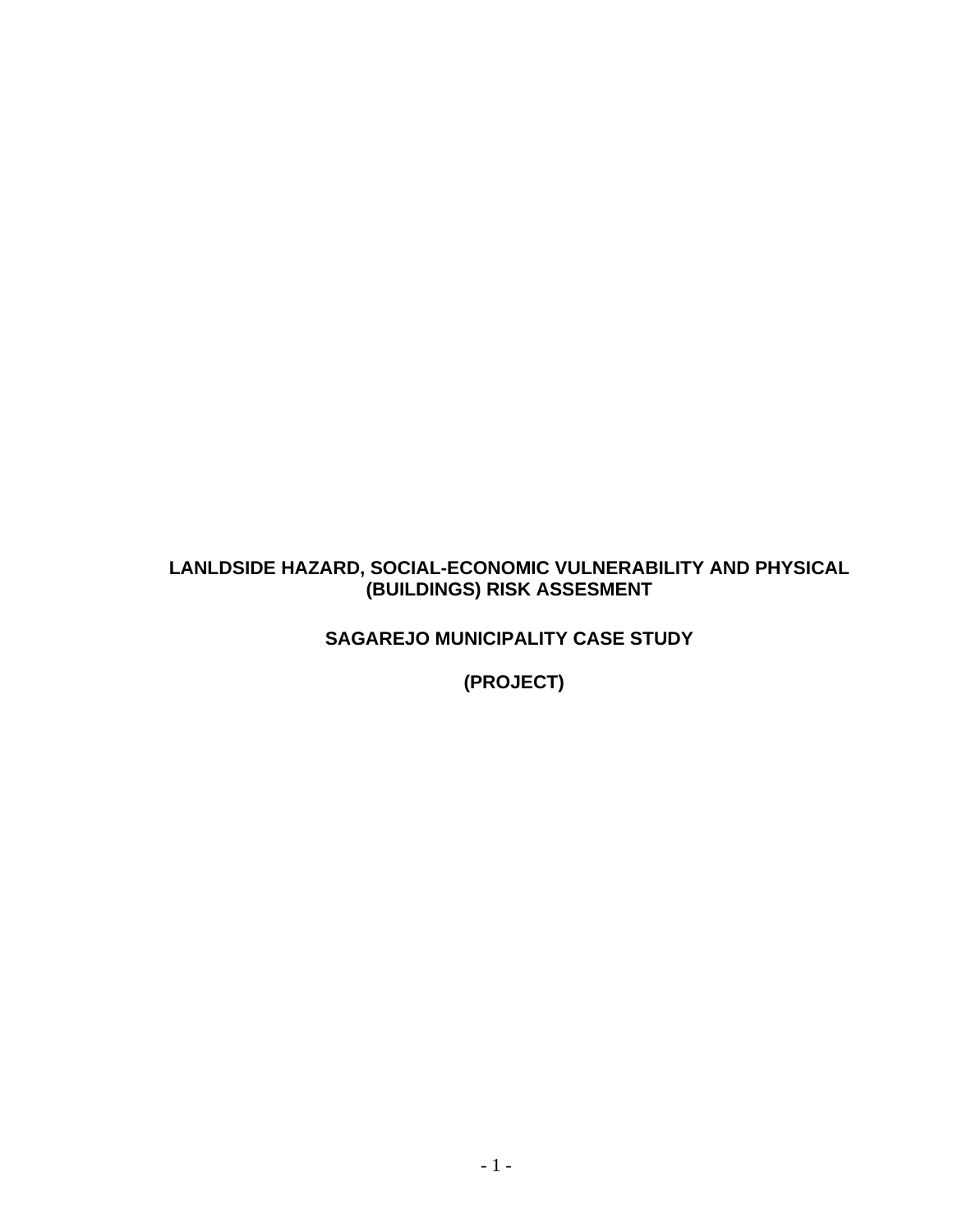### **LANLDSIDE HAZARD, SOCIAL-ECONOMIC VULNERABILITY AND PHYSICAL (BUILDINGS) RISK ASSESMENT**

**SAGAREJO MUNICIPALITY CASE STUDY** 

**(PROJECT)**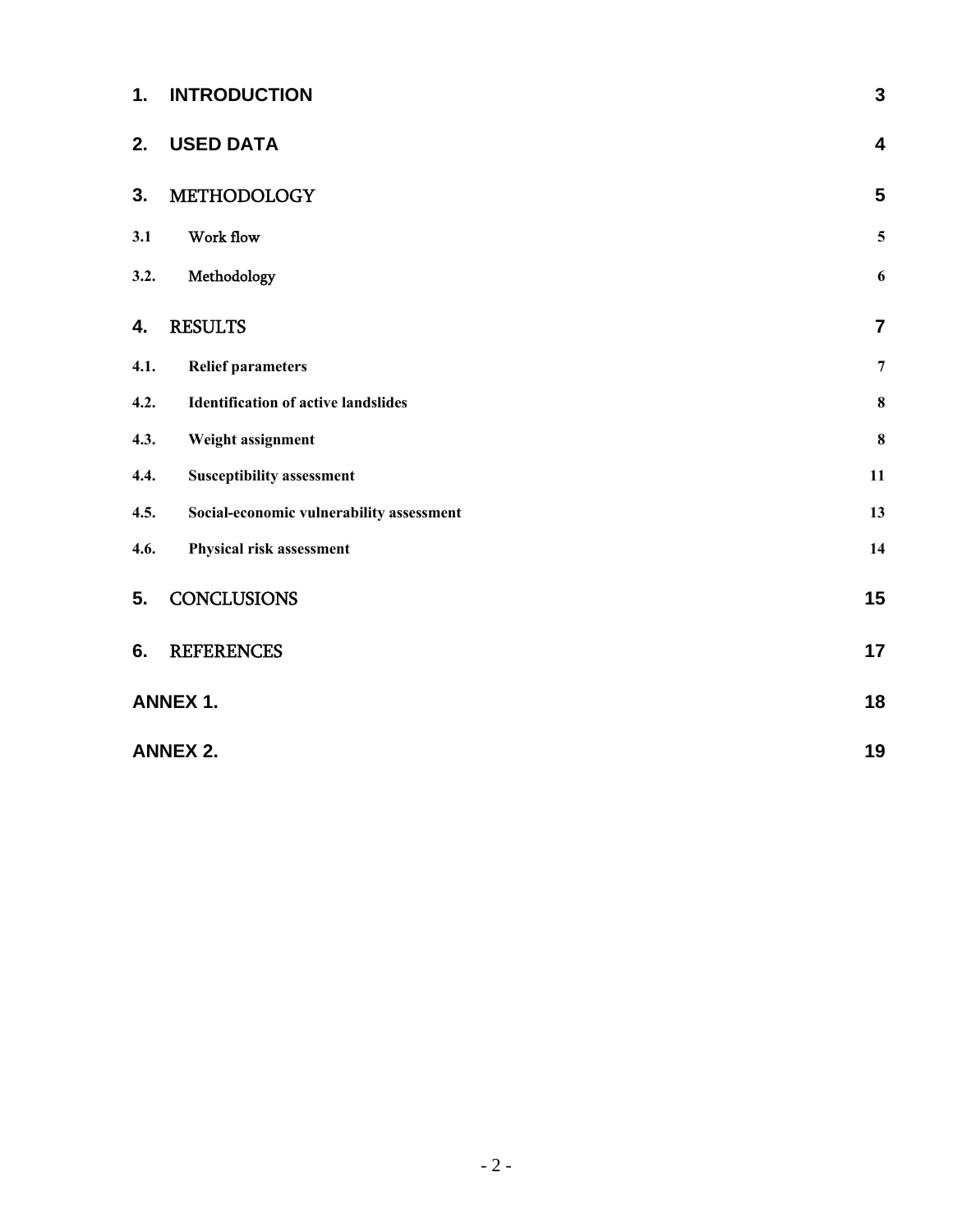| 1.   | <b>INTRODUCTION</b>                        | $\mathbf{3}$            |  |  |  |
|------|--------------------------------------------|-------------------------|--|--|--|
| 2.   | <b>USED DATA</b>                           | $\overline{\mathbf{4}}$ |  |  |  |
| 3.   | METHODOLOGY                                | $5\phantom{1}$          |  |  |  |
| 3.1  | Work flow                                  | $\mathbf 5$             |  |  |  |
| 3.2. | Methodology                                | $\boldsymbol{6}$        |  |  |  |
| 4.   | <b>RESULTS</b>                             | $\overline{7}$          |  |  |  |
| 4.1. | <b>Relief parameters</b>                   | $\overline{7}$          |  |  |  |
| 4.2. | <b>Identification of active landslides</b> | $\bf 8$                 |  |  |  |
| 4.3. | Weight assignment                          | $\bf{8}$                |  |  |  |
| 4.4. | <b>Susceptibility assessment</b>           | 11                      |  |  |  |
| 4.5. | Social-economic vulnerability assessment   | 13                      |  |  |  |
| 4.6. | Physical risk assessment                   | 14                      |  |  |  |
| 5.   | <b>CONCLUSIONS</b>                         | 15                      |  |  |  |
| 6.   | <b>REFERENCES</b>                          | 17                      |  |  |  |
|      | <b>ANNEX 1.</b>                            |                         |  |  |  |
|      | <b>ANNEX 2.</b>                            | 19                      |  |  |  |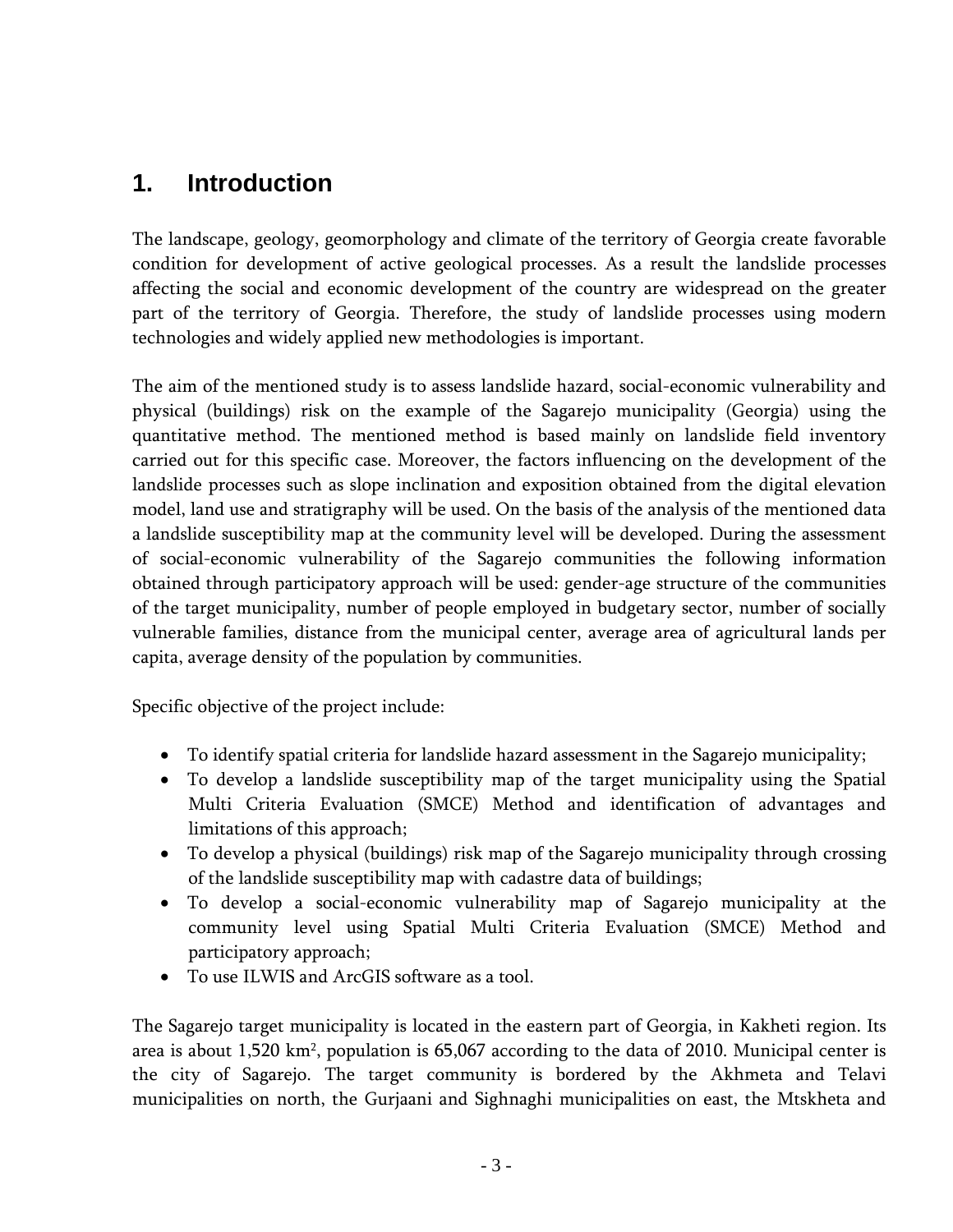# <span id="page-2-1"></span><span id="page-2-0"></span>**1. Introduction**

The landscape, geology, geomorphology and climate of the territory of Georgia create favorable condition for development of active geological processes. As a result the landslide processes affecting the social and economic development of the country are widespread on the greater part of the territory of Georgia. Therefore, the study of landslide processes using modern technologies and widely applied new methodologies is important.

The aim of the mentioned study is to assess landslide hazard, social-economic vulnerability and physical (buildings) risk on the example of the Sagarejo municipality (Georgia) using the quantitative method. The mentioned method is based mainly on landslide field inventory carried out for this specific case. Moreover, the factors influencing on the development of the landslide processes such as slope inclination and exposition obtained from the digital elevation model, land use and stratigraphy will be used. On the basis of the analysis of the mentioned data a landslide susceptibility map at the community level will be developed. During the assessment of social-economic vulnerability of the Sagarejo communities the following information obtained through participatory approach will be used: gender-age structure of the communities of the target municipality, number of people employed in budgetary sector, number of socially vulnerable families, distance from the municipal center, average area of agricultural lands per capita, average density of the population by communities.

Specific objective of the project include:

- To identify spatial criteria for landslide hazard assessment in the Sagarejo municipality;
- To develop a landslide susceptibility map of the target municipality using the Spatial Multi Criteria Evaluation (SMCE) Method and identification of advantages and limitations of this approach;
- To develop a physical (buildings) risk map of the Sagarejo municipality through crossing of the landslide susceptibility map with cadastre data of buildings;
- To develop a social-economic vulnerability map of Sagarejo municipality at the community level using Spatial Multi Criteria Evaluation (SMCE) Method and participatory approach;
- To use ILWIS and ArcGIS software as a tool.

The Sagarejo target municipality is located in the eastern part of Georgia, in Kakheti region. Its area is about 1,520 km<sup>2</sup>, population is 65,067 according to the data of 2010. Municipal center is the city of Sagarejo. The target community is bordered by the Akhmeta and Telavi municipalities on north, the Gurjaani and Sighnaghi municipalities on east, the Mtskheta and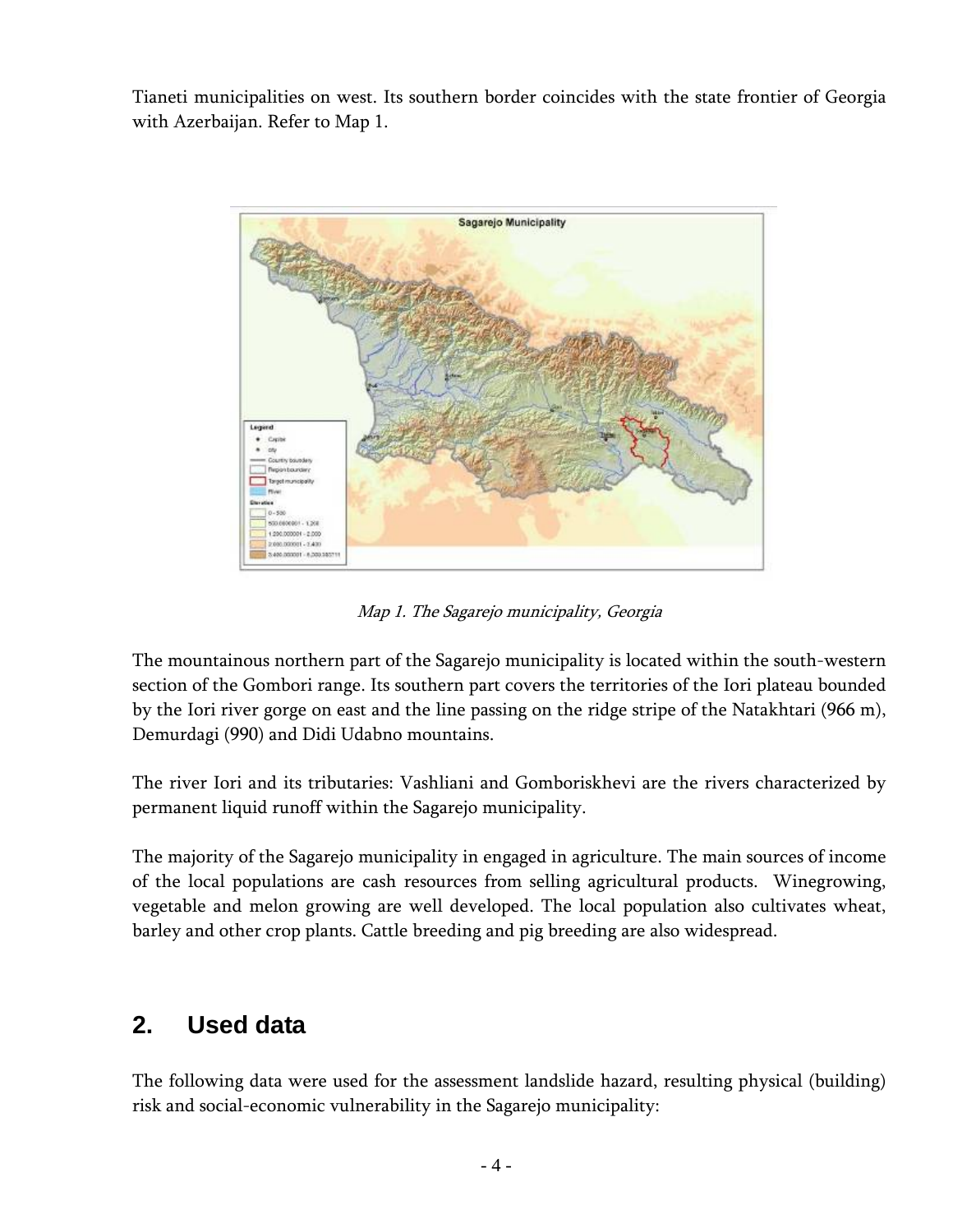<span id="page-3-0"></span>Tianeti municipalities on west. Its southern border coincides with the state frontier of Georgia with Azerbaijan. Refer to Map 1.



Map 1. The Sagarejo municipality, Georgia

The mountainous northern part of the Sagarejo municipality is located within the south-western section of the Gombori range. Its southern part covers the territories of the Iori plateau bounded by the Iori river gorge on east and the line passing on the ridge stripe of the Natakhtari (966 m), Demurdagi (990) and Didi Udabno mountains.

The river Iori and its tributaries: Vashliani and Gomboriskhevi are the rivers characterized by permanent liquid runoff within the Sagarejo municipality.

The majority of the Sagarejo municipality in engaged in agriculture. The main sources of income of the local populations are cash resources from selling agricultural products. Winegrowing, vegetable and melon growing are well developed. The local population also cultivates wheat, barley and other crop plants. Cattle breeding and pig breeding are also widespread.

# <span id="page-3-1"></span>**2. Used data**

The following data were used for the assessment landslide hazard, resulting physical (building) risk and social-economic vulnerability in the Sagarejo municipality: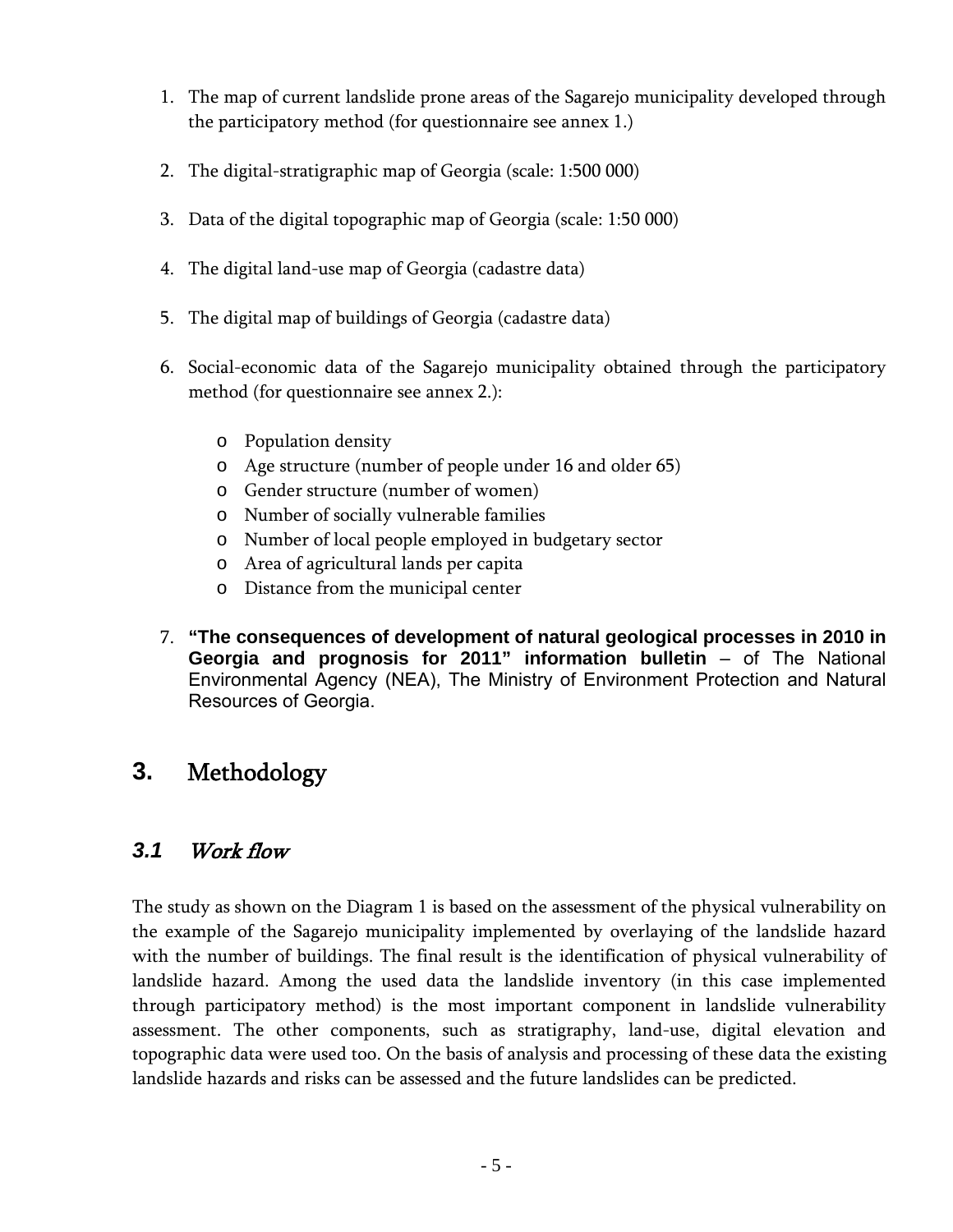- <span id="page-4-0"></span>1. The map of current landslide prone areas of the Sagarejo municipality developed through the participatory method (for questionnaire see annex 1.)
- 2. The digital-stratigraphic map of Georgia (scale: 1:500 000)
- 3. Data of the digital topographic map of Georgia (scale: 1:50 000)
- 4. The digital land-use map of Georgia (cadastre data)
- 5. The digital map of buildings of Georgia (cadastre data)
- 6. Social-economic data of the Sagarejo municipality obtained through the participatory method (for questionnaire see annex 2.):
	- o Population density
	- o Age structure (number of people under 16 and older 65)
	- o Gender structure (number of women)
	- o Number of socially vulnerable families
	- o Number of local people employed in budgetary sector
	- o Area of agricultural lands per capita
	- o Distance from the municipal center
- 7. **"The consequences of development of natural geological processes in 2010 in Georgia and prognosis for 2011" information bulletin** – of The National Environmental Agency (NEA), The Ministry of Environment Protection and Natural Resources of Georgia.

## <span id="page-4-1"></span>**3.** Methodology

### <span id="page-4-2"></span>*3.1* Work flow

The study as shown on the Diagram 1 is based on the assessment of the physical vulnerability on the example of the Sagarejo municipality implemented by overlaying of the landslide hazard with the number of buildings. The final result is the identification of physical vulnerability of landslide hazard. Among the used data the landslide inventory (in this case implemented through participatory method) is the most important component in landslide vulnerability assessment. The other components, such as stratigraphy, land-use, digital elevation and topographic data were used too. On the basis of analysis and processing of these data the existing landslide hazards and risks can be assessed and the future landslides can be predicted.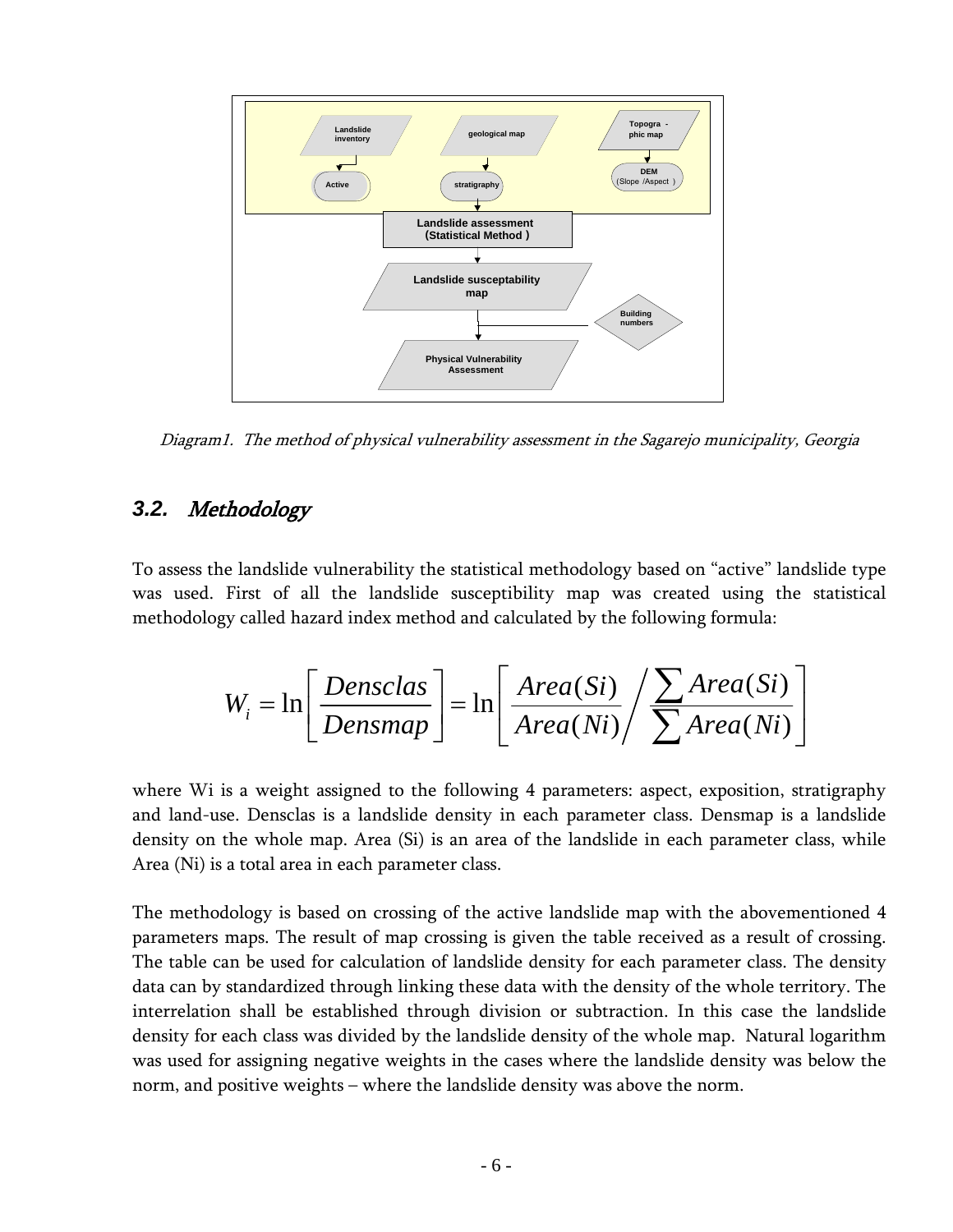<span id="page-5-0"></span>

Diagram1. The method of physical vulnerability assessment in the Sagarejo municipality, Georgia

## <span id="page-5-1"></span>*3.2.* Methodology

To assess the landslide vulnerability the statistical methodology based on "active" landslide type was used. First of all the landslide susceptibility map was created using the statistical methodology called hazard index method and calculated by the following formula:

$$
W_{i} = \ln \left[ \frac{Densclas}{Densmap} \right] = \ln \left[ \frac{Area(Si)}{Area(Ni)} / \frac{\sum Area(Si)}{\sum Area(Ni)} \right]
$$

where Wi is a weight assigned to the following 4 parameters: aspect, exposition, stratigraphy and land-use. Densclas is a landslide density in each parameter class. Densmap is a landslide density on the whole map. Area (Si) is an area of the landslide in each parameter class, while Area (Ni) is a total area in each parameter class.

The methodology is based on crossing of the active landslide map with the abovementioned 4 parameters maps. The result of map crossing is given the table received as a result of crossing. The table can be used for calculation of landslide density for each parameter class. The density data can by standardized through linking these data with the density of the whole territory. The interrelation shall be established through division or subtraction. In this case the landslide density for each class was divided by the landslide density of the whole map. Natural logarithm was used for assigning negative weights in the cases where the landslide density was below the norm, and positive weights – where the landslide density was above the norm.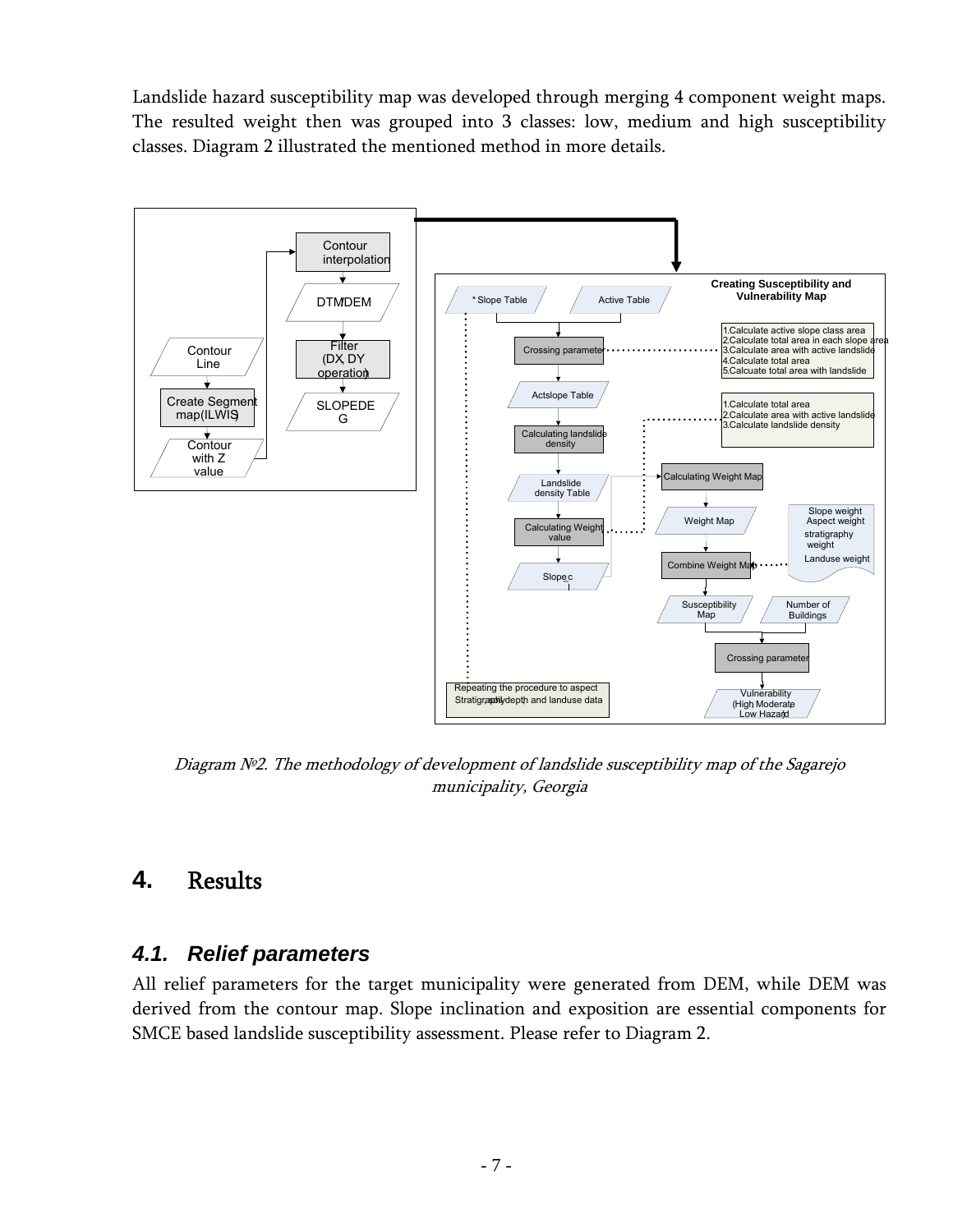<span id="page-6-0"></span>Landslide hazard susceptibility map was developed through merging 4 component weight maps. The resulted weight then was grouped into 3 classes: low, medium and high susceptibility classes. Diagram 2 illustrated the mentioned method in more details.



Diagram №2. The methodology of development of landslide susceptibility map of the Sagarejo municipality, Georgia

## <span id="page-6-1"></span>**4.** Results

#### <span id="page-6-2"></span>*4.1. Relief parameters*

All relief parameters for the target municipality were generated from DEM, while DEM was derived from the contour map. Slope inclination and exposition are essential components for SMCE based landslide susceptibility assessment. Please refer to Diagram 2.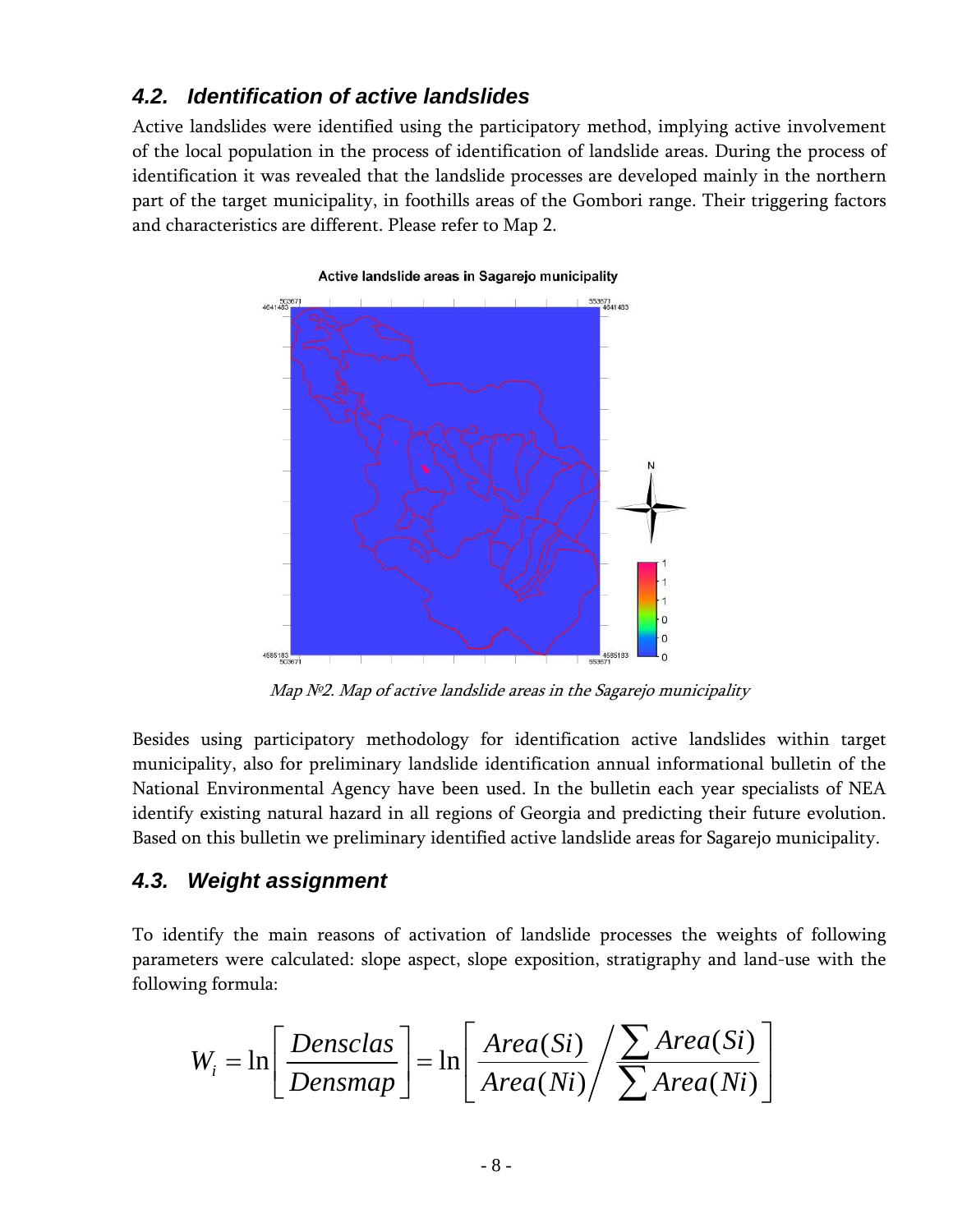### <span id="page-7-1"></span><span id="page-7-0"></span>*4.2. Identification of active landslides*

Active landslides were identified using the participatory method, implying active involvement of the local population in the process of identification of landslide areas. During the process of identification it was revealed that the landslide processes are developed mainly in the northern part of the target municipality, in foothills areas of the Gombori range. Their triggering factors and characteristics are different. Please refer to Map 2.



Map Nº2. Map of active landslide areas in the Sagarejo municipality

Besides using participatory methodology for identification active landslides within target municipality, also for preliminary landslide identification annual informational bulletin of the National Environmental Agency have been used. In the bulletin each year specialists of NEA identify existing natural hazard in all regions of Georgia and predicting their future evolution. Based on this bulletin we preliminary identified active landslide areas for Sagarejo municipality.

## <span id="page-7-2"></span>*4.3. Weight assignment*

To identify the main reasons of activation of landslide processes the weights of following parameters were calculated: slope aspect, slope exposition, stratigraphy and land-use with the following formula:

$$
W_{i} = \ln \left[ \frac{Densclas}{Densmap} \right] = \ln \left[ \frac{Area(Si)}{Area(Ni)} / \sum_{\text{Area}(Ni)} \right]
$$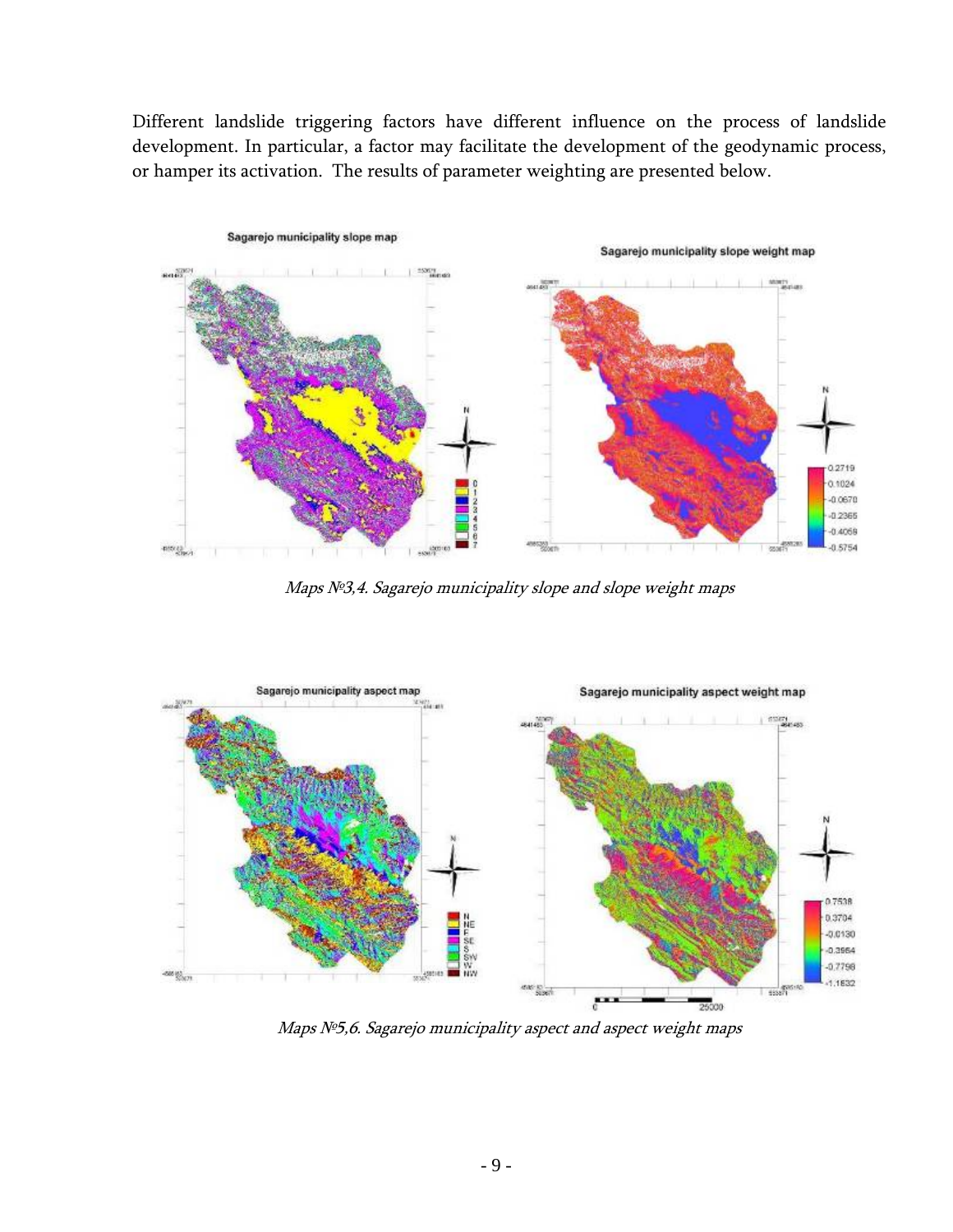Different landslide triggering factors have different influence on the process of landslide development. In particular, a factor may facilitate the development of the geodynamic process, or hamper its activation. The results of parameter weighting are presented below.



Maps №3,4. Sagarejo municipality slope and slope weight maps



Maps Nº5,6. Sagarejo municipality aspect and aspect weight maps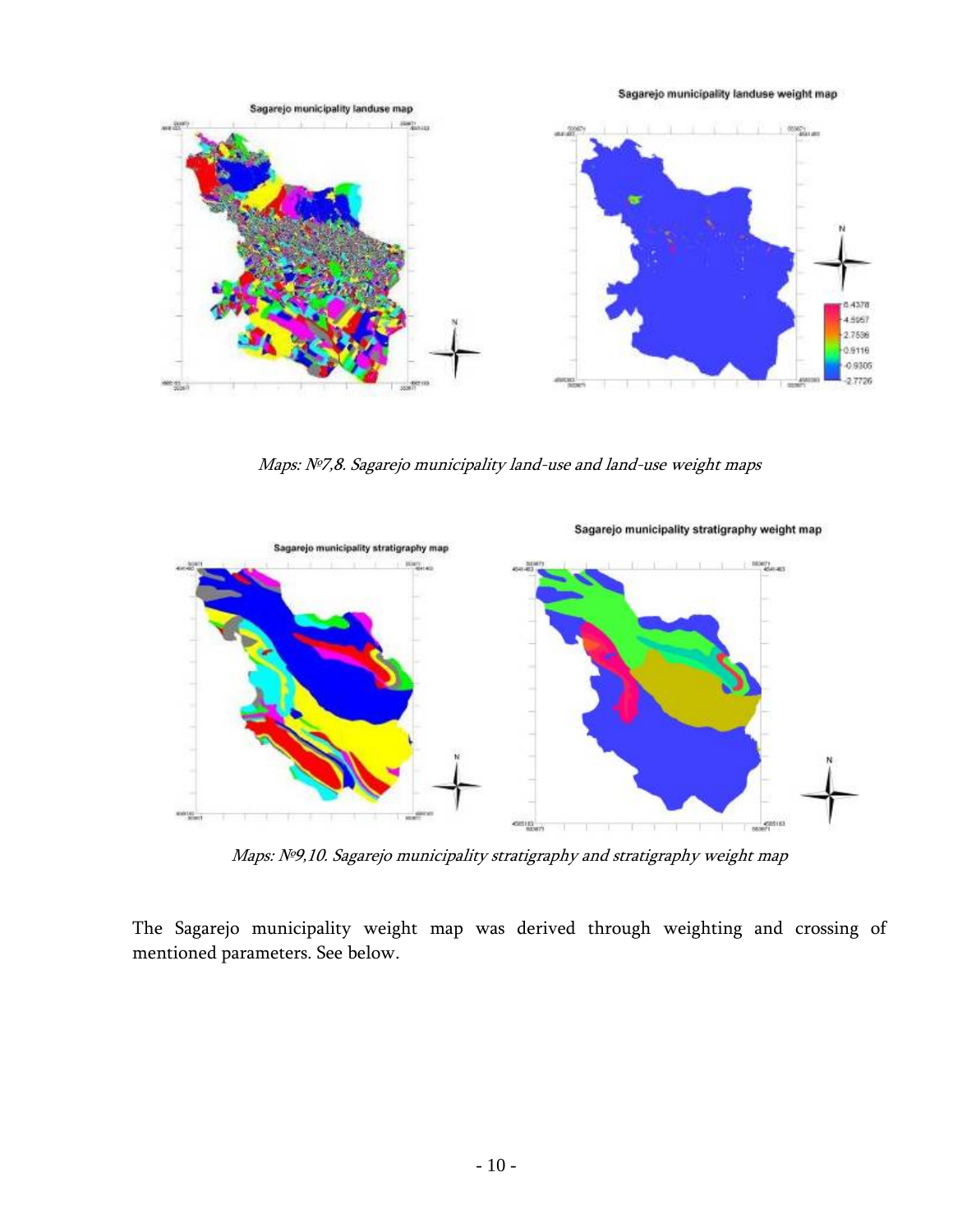Sagarejo municipality landuse weight map



Maps: №7,8. Sagarejo municipality land-use and land-use weight maps



Maps: №9,10. Sagarejo municipality stratigraphy and stratigraphy weight map

The Sagarejo municipality weight map was derived through weighting and crossing of mentioned parameters. See below.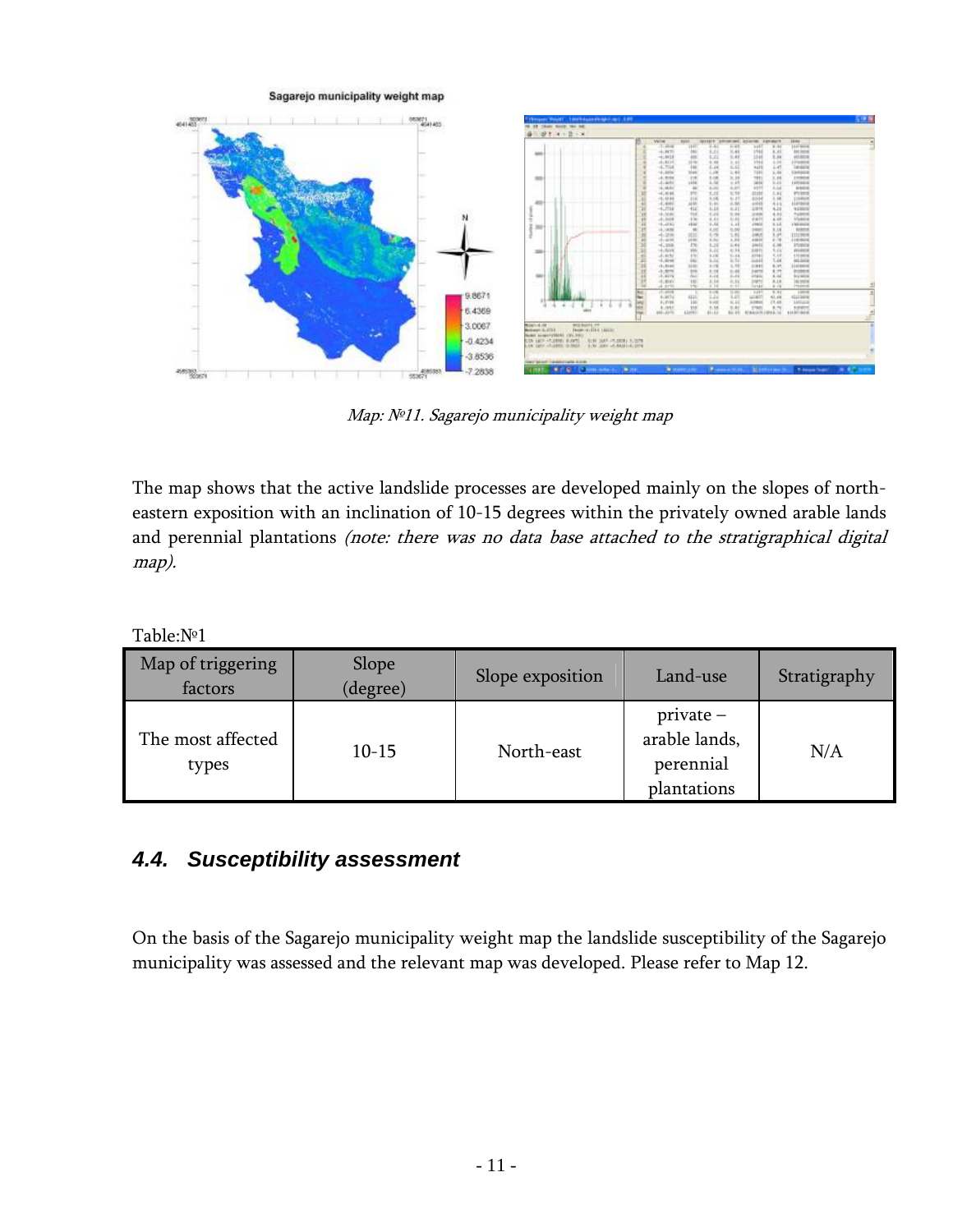<span id="page-10-0"></span>

Map: №11. Sagarejo municipality weight map

The map shows that the active landslide processes are developed mainly on the slopes of northeastern exposition with an inclination of 10-15 degrees within the privately owned arable lands and perennial plantations (note: there was no data base attached to the stratigraphical digital map).

Table:№1

| Map of triggering<br>factors | Slope<br>(degree) | Slope exposition | Land-use                                                 | Stratigraphy |
|------------------------------|-------------------|------------------|----------------------------------------------------------|--------------|
| The most affected<br>types   | $10 - 15$         | North-east       | $private -$<br>arable lands,<br>perennial<br>plantations | N/A          |

## <span id="page-10-1"></span>*4.4. Susceptibility assessment*

On the basis of the Sagarejo municipality weight map the landslide susceptibility of the Sagarejo municipality was assessed and the relevant map was developed. Please refer to Map 12.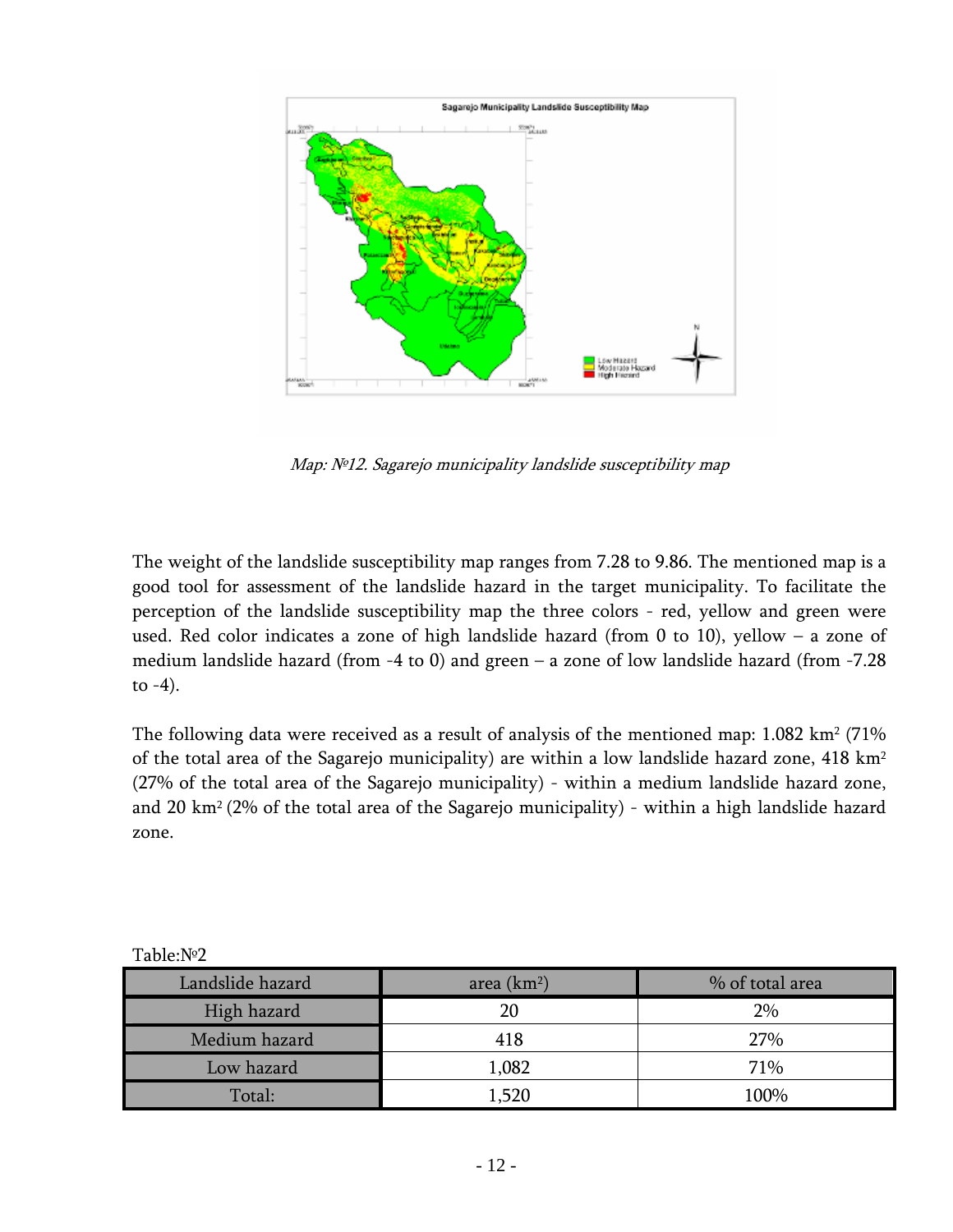

Map: №12. Sagarejo municipality landslide susceptibility map

The weight of the landslide susceptibility map ranges from 7.28 to 9.86. The mentioned map is a good tool for assessment of the landslide hazard in the target municipality. To facilitate the perception of the landslide susceptibility map the three colors - red, yellow and green were used. Red color indicates a zone of high landslide hazard (from 0 to 10), yellow – a zone of medium landslide hazard (from -4 to 0) and green – a zone of low landslide hazard (from -7.28 to  $-4$ ).

The following data were received as a result of analysis of the mentioned map:  $1.082 \text{ km}^2$  (71%) of the total area of the Sagarejo municipality) are within a low landslide hazard zone, 418 km2 (27% of the total area of the Sagarejo municipality) - within a medium landslide hazard zone, and 20 km2 (2% of the total area of the Sagarejo municipality) - within a high landslide hazard zone.

| Landslide hazard | area $(km2)$ | % of total area |  |  |
|------------------|--------------|-----------------|--|--|
| High hazard      | 20           | 2%              |  |  |
| Medium hazard    | 418          | 27%             |  |  |
| Low hazard       | 1,082        | 71%             |  |  |
| Total:           | 1,520        | 100%            |  |  |

Table:№2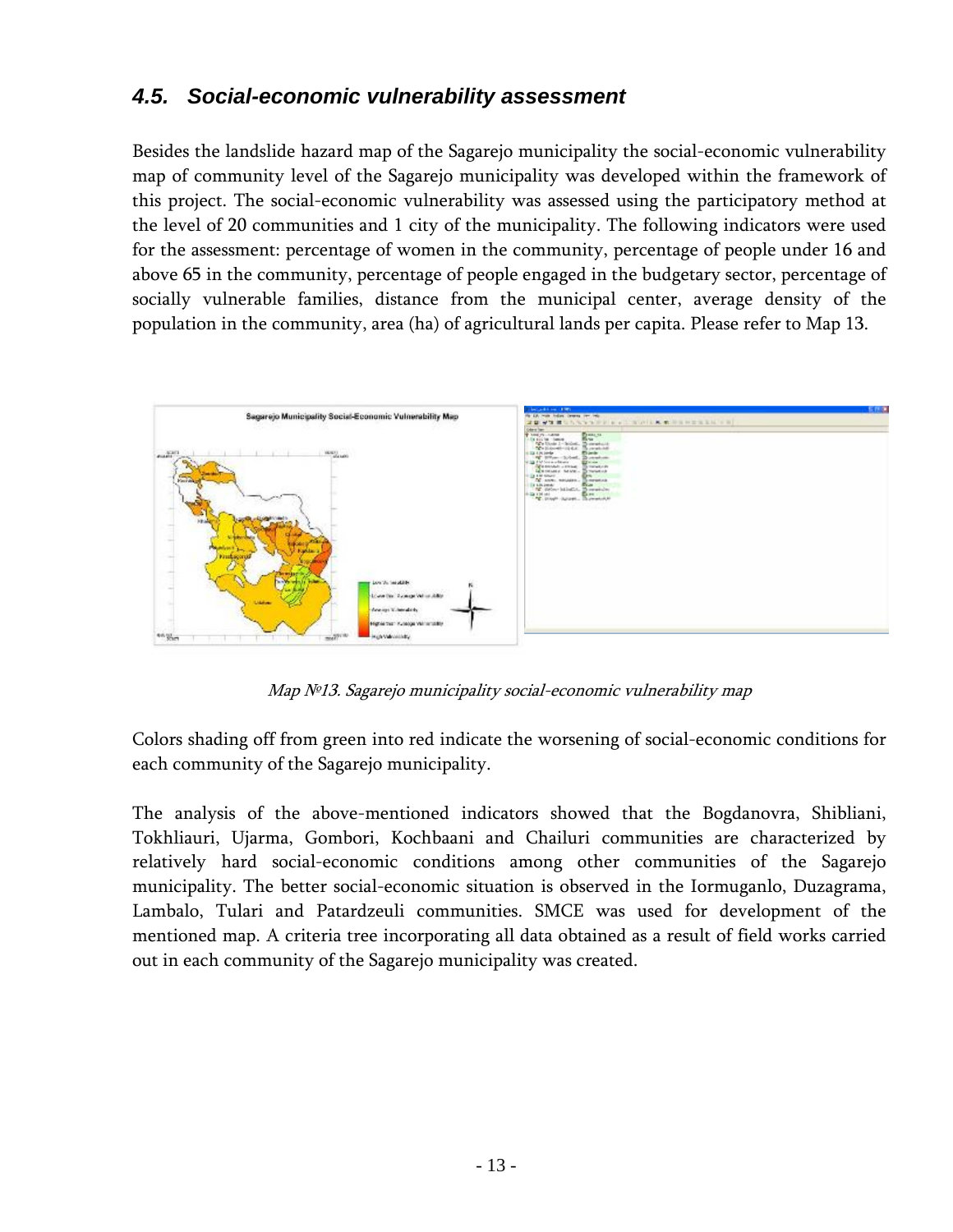## <span id="page-12-1"></span><span id="page-12-0"></span>*4.5. Social-economic vulnerability assessment*

Besides the landslide hazard map of the Sagarejo municipality the social-economic vulnerability map of community level of the Sagarejo municipality was developed within the framework of this project. The social-economic vulnerability was assessed using the participatory method at the level of 20 communities and 1 city of the municipality. The following indicators were used for the assessment: percentage of women in the community, percentage of people under 16 and above 65 in the community, percentage of people engaged in the budgetary sector, percentage of socially vulnerable families, distance from the municipal center, average density of the population in the community, area (ha) of agricultural lands per capita. Please refer to Map 13.



Map №13. Sagarejo municipality social-economic vulnerability map

Colors shading off from green into red indicate the worsening of social-economic conditions for each community of the Sagarejo municipality.

The analysis of the above-mentioned indicators showed that the Bogdanovra, Shibliani, Tokhliauri, Ujarma, Gombori, Kochbaani and Chailuri communities are characterized by relatively hard social-economic conditions among other communities of the Sagarejo municipality. The better social-economic situation is observed in the Iormuganlo, Duzagrama, Lambalo, Tulari and Patardzeuli communities. SMCE was used for development of the mentioned map. A criteria tree incorporating all data obtained as a result of field works carried out in each community of the Sagarejo municipality was created.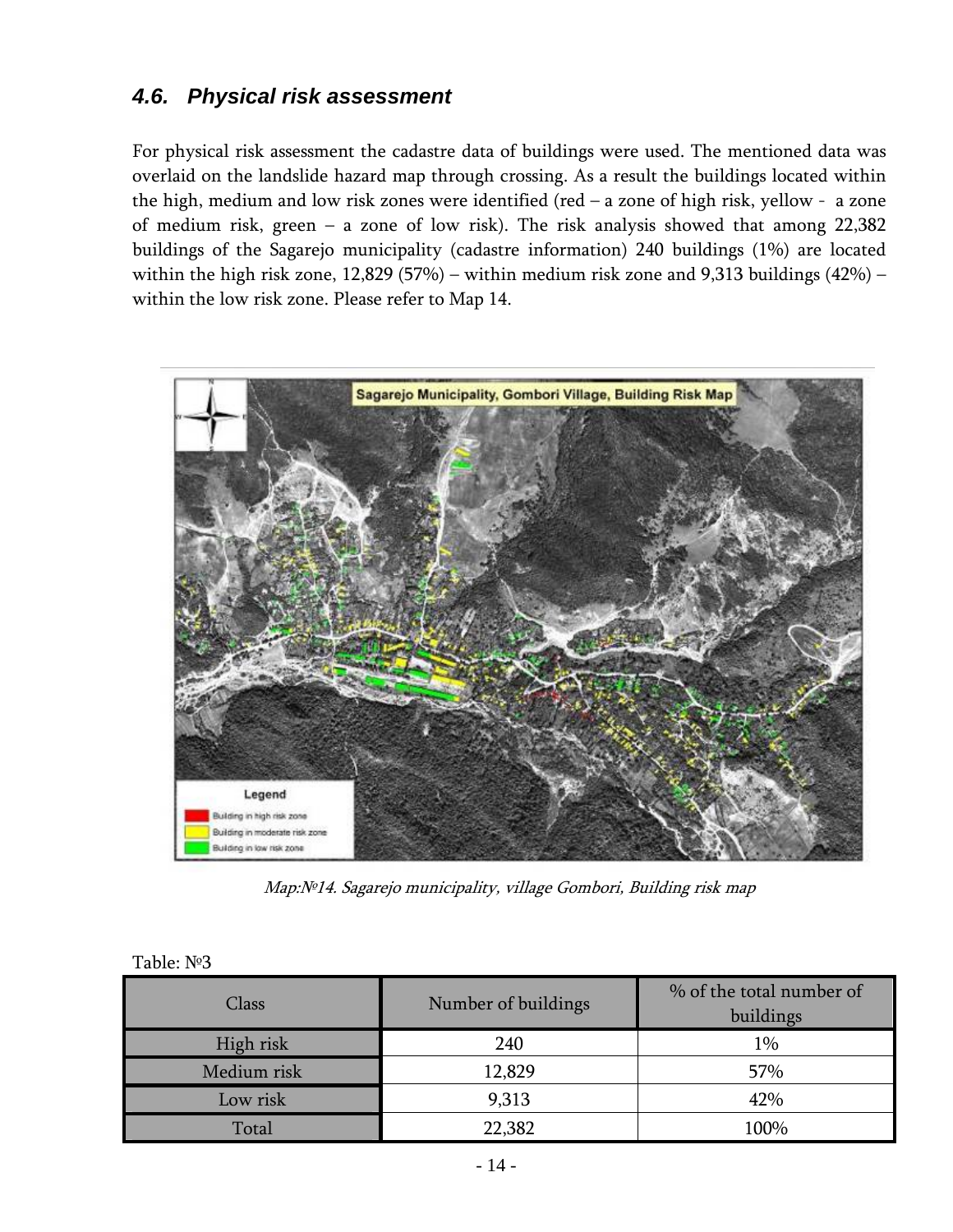## <span id="page-13-1"></span><span id="page-13-0"></span>*4.6. Physical risk assessment*

For physical risk assessment the cadastre data of buildings were used. The mentioned data was overlaid on the landslide hazard map through crossing. As a result the buildings located within the high, medium and low risk zones were identified (red – a zone of high risk, yellow - a zone of medium risk, green – a zone of low risk). The risk analysis showed that among 22,382 buildings of the Sagarejo municipality (cadastre information) 240 buildings (1%) are located within the high risk zone, 12,829 (57%) – within medium risk zone and 9,313 buildings (42%) – within the low risk zone. Please refer to Map 14.



Map:№14. Sagarejo municipality, village Gombori, Building risk map

| Class       | Number of buildings | % of the total number of<br>buildings |  |  |  |  |  |  |
|-------------|---------------------|---------------------------------------|--|--|--|--|--|--|
| High risk   | 240                 | 1%                                    |  |  |  |  |  |  |
| Medium risk | 12,829              | 57%                                   |  |  |  |  |  |  |
| Low risk    | 9,313               | 42%                                   |  |  |  |  |  |  |
| Total       | 22,382              | 100%                                  |  |  |  |  |  |  |

| Table: №3 |  |
|-----------|--|
|-----------|--|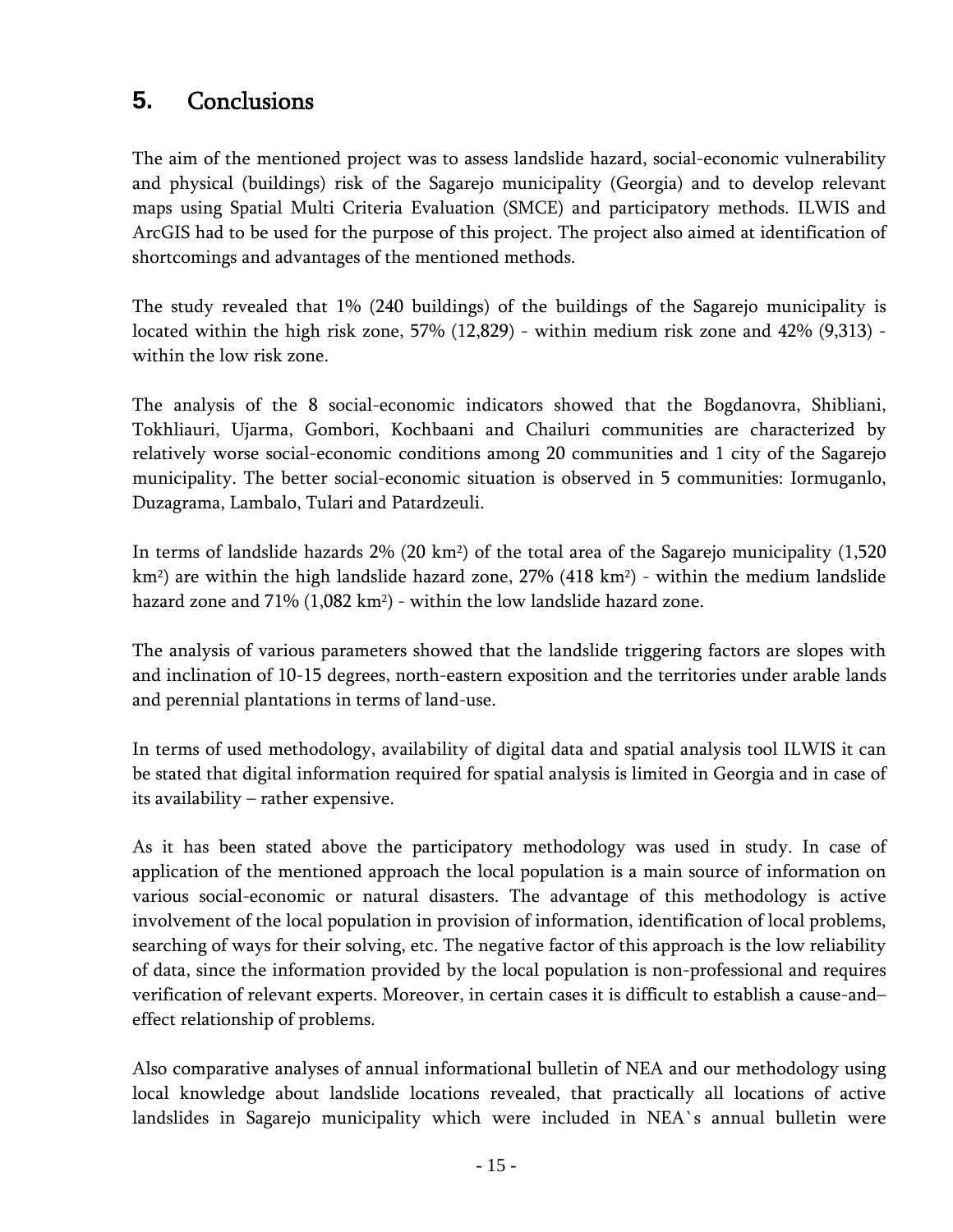# <span id="page-14-1"></span><span id="page-14-0"></span>**5.** Conclusions

The aim of the mentioned project was to assess landslide hazard, social-economic vulnerability and physical (buildings) risk of the Sagarejo municipality (Georgia) and to develop relevant maps using Spatial Multi Criteria Evaluation (SMCE) and participatory methods. ILWIS and ArcGIS had to be used for the purpose of this project. The project also aimed at identification of shortcomings and advantages of the mentioned methods.

The study revealed that 1% (240 buildings) of the buildings of the Sagarejo municipality is located within the high risk zone, 57% (12,829) - within medium risk zone and 42% (9,313) within the low risk zone.

The analysis of the 8 social-economic indicators showed that the Bogdanovra, Shibliani, Tokhliauri, Ujarma, Gombori, Kochbaani and Chailuri communities are characterized by relatively worse social-economic conditions among 20 communities and 1 city of the Sagarejo municipality. The better social-economic situation is observed in 5 communities: Iormuganlo, Duzagrama, Lambalo, Tulari and Patardzeuli.

In terms of landslide hazards 2% (20 km2) of the total area of the Sagarejo municipality (1,520  $km<sup>2</sup>$ ) are within the high landslide hazard zone, 27% (418 km<sup>2</sup>) - within the medium landslide hazard zone and  $71\%$  (1,082 km<sup>2</sup>) - within the low landslide hazard zone.

The analysis of various parameters showed that the landslide triggering factors are slopes with and inclination of 10-15 degrees, north-eastern exposition and the territories under arable lands and perennial plantations in terms of land-use.

In terms of used methodology, availability of digital data and spatial analysis tool ILWIS it can be stated that digital information required for spatial analysis is limited in Georgia and in case of its availability – rather expensive.

As it has been stated above the participatory methodology was used in study. In case of application of the mentioned approach the local population is a main source of information on various social-economic or natural disasters. The advantage of this methodology is active involvement of the local population in provision of information, identification of local problems, searching of ways for their solving, etc. The negative factor of this approach is the low reliability of data, since the information provided by the local population is non-professional and requires verification of relevant experts. Moreover, in certain cases it is difficult to establish a cause-and– effect relationship of problems.

Also comparative analyses of annual informational bulletin of NEA and our methodology using local knowledge about landslide locations revealed, that practically all locations of active landslides in Sagarejo municipality which were included in NEA`s annual bulletin were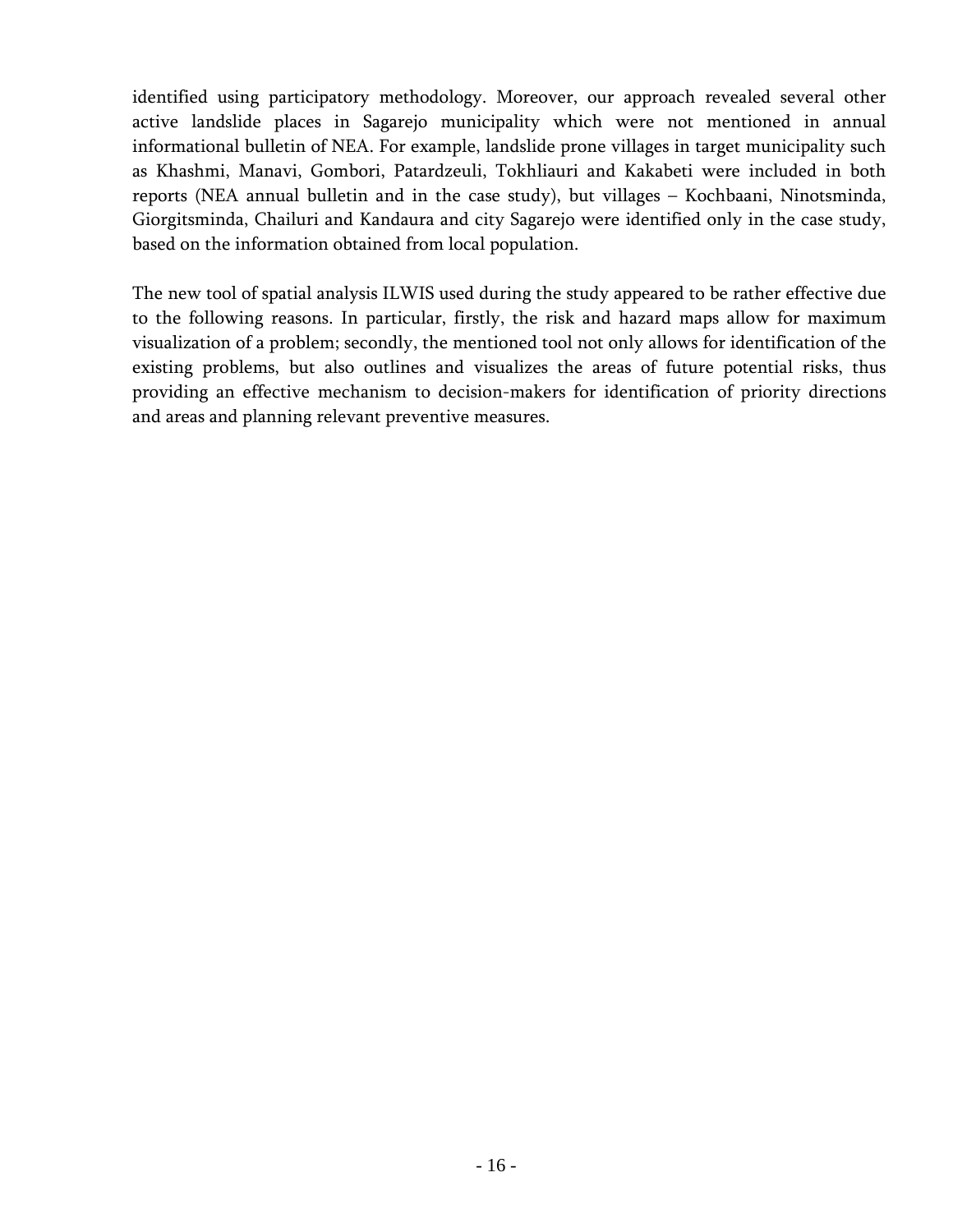identified using participatory methodology. Moreover, our approach revealed several other active landslide places in Sagarejo municipality which were not mentioned in annual informational bulletin of NEA. For example, landslide prone villages in target municipality such as Khashmi, Manavi, Gombori, Patardzeuli, Tokhliauri and Kakabeti were included in both reports (NEA annual bulletin and in the case study), but villages – Kochbaani, Ninotsminda, Giorgitsminda, Chailuri and Kandaura and city Sagarejo were identified only in the case study, based on the information obtained from local population.

The new tool of spatial analysis ILWIS used during the study appeared to be rather effective due to the following reasons. In particular, firstly, the risk and hazard maps allow for maximum visualization of a problem; secondly, the mentioned tool not only allows for identification of the existing problems, but also outlines and visualizes the areas of future potential risks, thus providing an effective mechanism to decision-makers for identification of priority directions and areas and planning relevant preventive measures.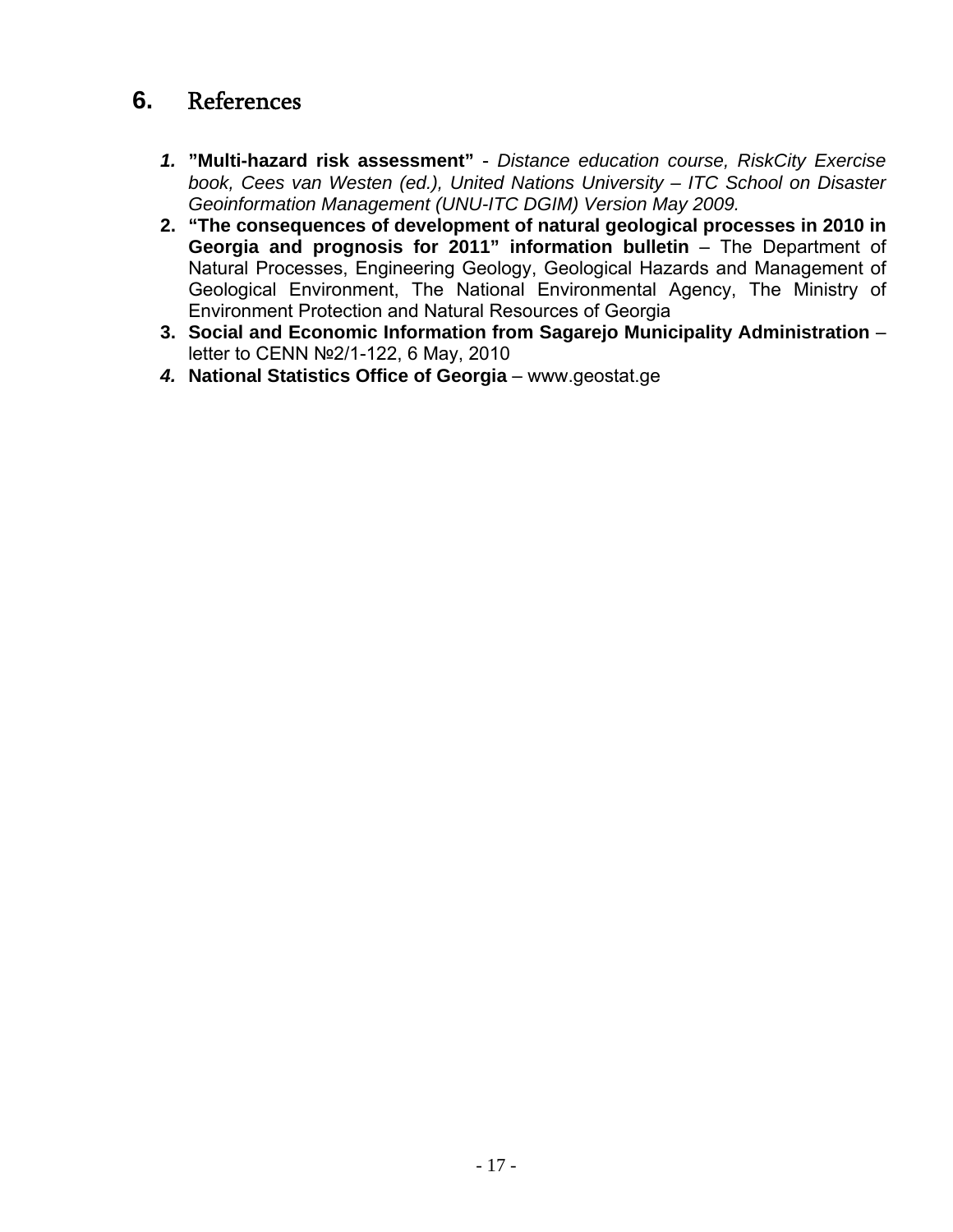# <span id="page-16-1"></span><span id="page-16-0"></span>**6.** References

- *1.* **"Multi-hazard risk assessment"** *Distance education course, RiskCity Exercise book, Cees van Westen (ed.), United Nations University – ITC School on Disaster Geoinformation Management (UNU-ITC DGIM) Version May 2009.*
- **2. "The consequences of development of natural geological processes in 2010 in Georgia and prognosis for 2011" information bulletin** – The Department of Natural Processes, Engineering Geology, Geological Hazards and Management of Geological Environment, The National Environmental Agency, The Ministry of Environment Protection and Natural Resources of Georgia
- **3. Social and Economic Information from Sagarejo Municipality Administration** letter to CENN №2/1-122, 6 May, 2010
- *4.* **National Statistics Office of Georgia** www.geostat.ge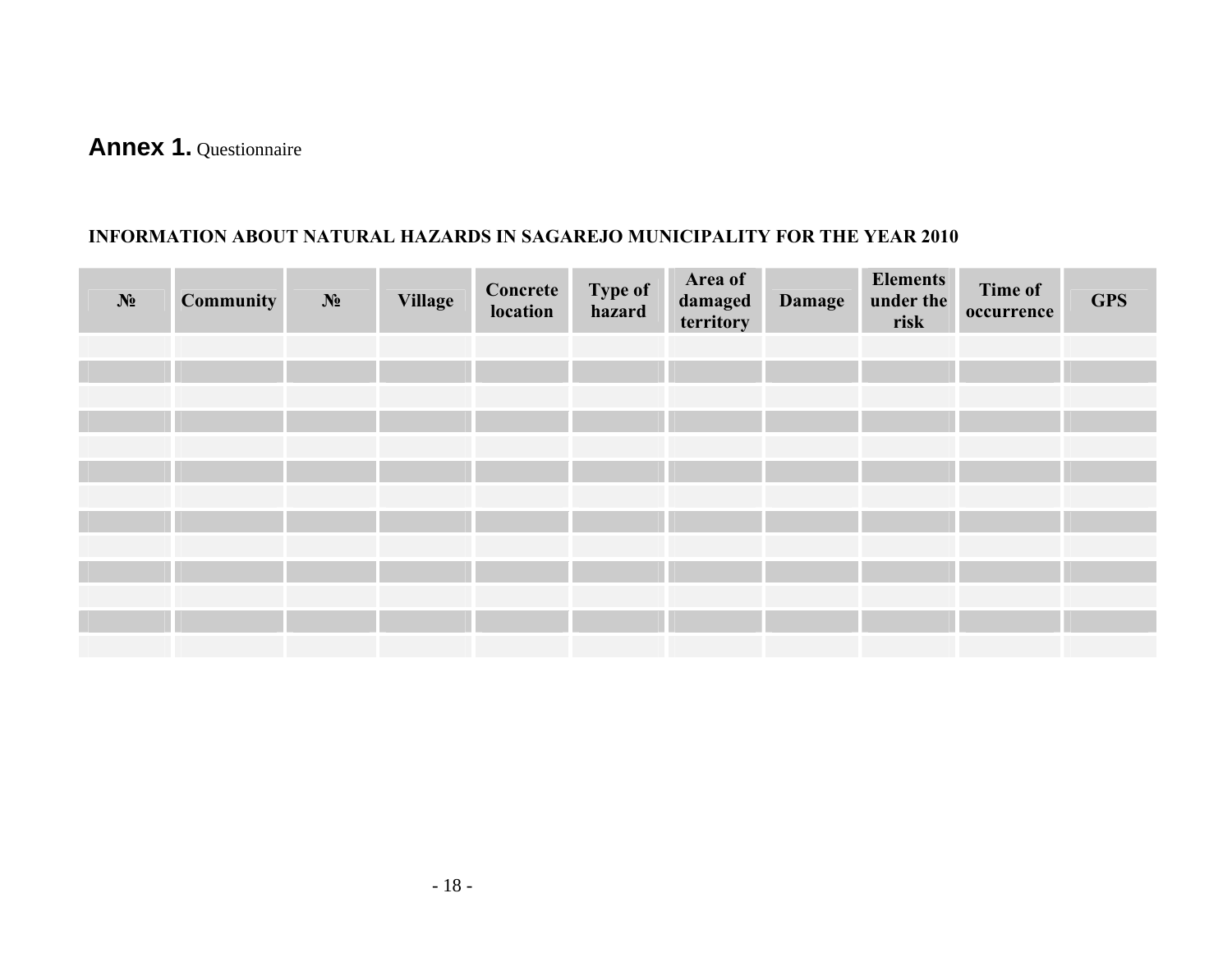# **Annex 1.** Questionnaire

#### **INFORMATION ABOUT NATURAL HAZARDS IN SAGAREJO MUNICIPALITY FOR THE YEAR 2010**

<span id="page-17-1"></span><span id="page-17-0"></span>

| $N_2$ | <b>Community</b> | $N_2$ | <b>Village</b> | Concrete<br>location | Type of<br>hazard | Area of<br>damaged<br>territory | <b>Damage</b> | <b>Elements</b><br>under the<br>risk | Time of<br>occurrence | <b>GPS</b> |
|-------|------------------|-------|----------------|----------------------|-------------------|---------------------------------|---------------|--------------------------------------|-----------------------|------------|
|       |                  |       |                |                      |                   |                                 |               |                                      |                       |            |
|       |                  |       |                |                      |                   |                                 |               |                                      |                       |            |
|       |                  |       |                |                      |                   |                                 |               |                                      |                       |            |
|       |                  |       |                |                      |                   |                                 |               |                                      |                       |            |
|       |                  |       |                |                      |                   |                                 |               |                                      |                       |            |
|       |                  |       |                |                      |                   |                                 |               |                                      |                       |            |
|       |                  |       |                |                      |                   |                                 |               |                                      |                       |            |
|       |                  |       |                |                      |                   |                                 |               |                                      |                       |            |
|       |                  |       |                |                      |                   |                                 |               |                                      |                       |            |
|       |                  |       |                |                      |                   |                                 |               |                                      |                       |            |
|       |                  |       |                |                      |                   |                                 |               |                                      |                       |            |
|       |                  |       |                |                      |                   |                                 |               |                                      |                       |            |
|       |                  |       |                |                      |                   |                                 |               |                                      |                       |            |